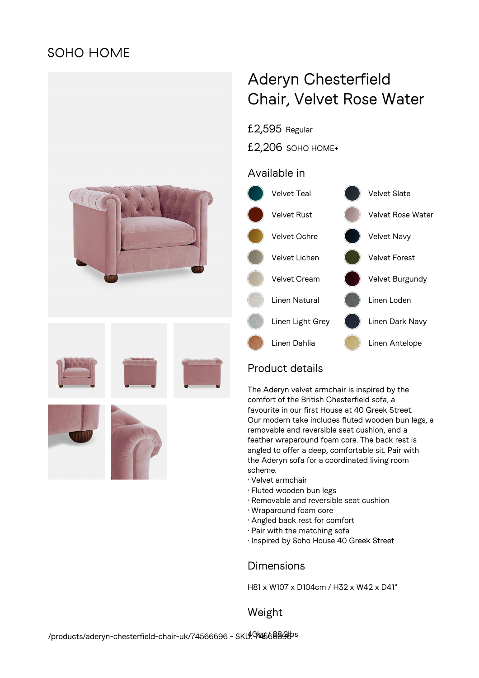# **SOHO HOME**



# Aderyn Chesterfield Chair, Velvet Rose Water

£2,595 Regular

£2,206 SOHO HOME+

## Available in



# Product details

The Aderyn velvet armchair is inspired by the comfort of the British Chesterfield sofa, a favourite in our first House at 40 Greek Street. Our modern take includes fluted wooden bun legs, a removable and reversible seat cushion, and a feather wraparound foam core. The back rest is angled to offer a deep, comfortable sit. Pair with the Aderyn sofa for a coordinated living room scheme.

- Velvet armchair
- Fluted wooden bun legs
- Removable and reversible seat cushion
- Wraparound foam core
- Angled back rest for comfort
- Pair with the matching sofa
- Inspired by Soho House 40 Greek Street

### **Dimensions**

H81 x W107 x D104cm / H32 x W42 x D41"

Weight